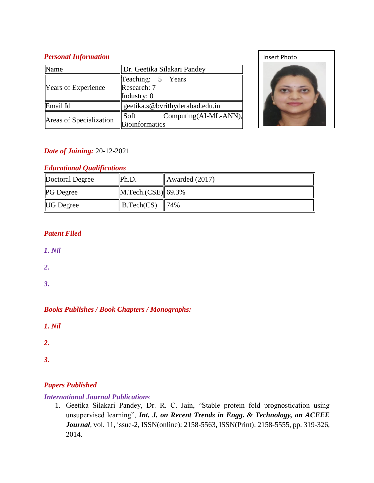### *Personal Information*

| Name                       | Dr. Geetika Silakari Pandey     |  |
|----------------------------|---------------------------------|--|
| <b>Years of Experience</b> | Teaching: 5 Years               |  |
|                            | Research: 7                     |  |
|                            | Industry: 0                     |  |
| Email Id                   | geetika.s@bvrithyderabad.edu.in |  |
| Areas of Specialization    | Computing(AI-ML-ANN),<br>Soft   |  |
|                            | Bioinformatics                  |  |



## *Date of Joining:* 20-12-2021

## *Educational Qualifications*

| Doctoral Degree  | Ph.D.                                      | $\parallel$ Awarded (2017) |
|------------------|--------------------------------------------|----------------------------|
| <b>PG</b> Degree | $\left  \text{M.Tech.}(CSE) \right $ 69.3% |                            |
| <b>UG</b> Degree | $\mathbf{B}.\mathbf{Techn}(\mathbf{CS})$   | 174%                       |

# *Patent Filed*

*1. Nil*

*2.*

*3.*

# *Books Publishes / Book Chapters / Monographs:*

*1. Nil*

*2.*

*3.*

# *Papers Published*

## *International Journal Publications*

1. Geetika Silakari Pandey, Dr. R. C. Jain, "Stable protein fold prognostication using unsupervised learning", *Int. J. on Recent Trends in Engg. & Technology, an ACEEE Journal*, vol. 11, issue-2, ISSN(online): 2158-5563, ISSN(Print): 2158-5555, pp. 319-326, 2014.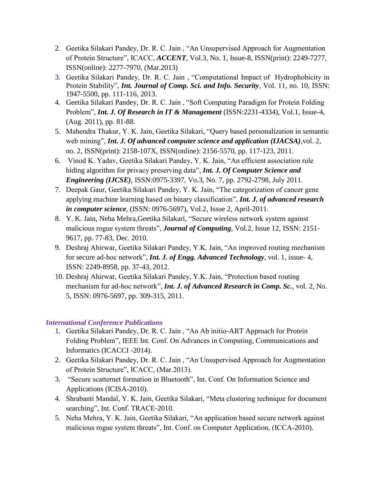- 2. Geetika Silakari Pandey, Dr. R. C. Jain , "An Unsupervised Approach for Augmentation of Protein Structure", ICACC, *ACCENT*, Vol.3, No. 1, Issue-8, ISSN(print): 2249-7277, ISSN(online): 2277-7970, (Mar.2013)
- 3. Geetika Silakari Pandey, Dr. R. C. Jain , "Computational Impact of Hydrophobicity in Protein Stability", *Int. Journal of Comp. Sci. and Info. Security*, Vol. 11, no. 10, ISSN: 1947-5500, pp. 111-116, 2013.
- 4. Geetika Silakari Pandey, Dr. R. C. Jain , "Soft Computing Paradigm for Protein Folding Problem", *Int. J. Of Research in IT & Management* (ISSN:2231-4334), Vol.1, Issue-4, (Aug. 2011), pp. 81-88.
- 5. Mahendra Thakur, Y. K. Jain, Geetika Silakari, "Query based personalization in semantic web mining", *Int. J. Of advanced computer science and application (IJACSA)*,vol. 2, no. 2, ISSN(print): 2158-107X, ISSN(online): 2156-5570, pp. 117-123, 2011.
- 6. Vinod K. Yadav, Geetika Silakari Pandey, Y. K. Jain, "An efficient association rule hiding algorithm for privacy preserving data", *Int. J. Of Computer Science and Engineering (IJCSE)*, ISSN:0975-3397, Vo.3, No. 7, pp. 2792-2798, July 2011.
- 7. Deepak Gaur, Geetika Silakari Pandey, Y. K. Jain, "The categorization of cancer gene applying machine learning based on binary classification", *Int. J. of advanced research in computer science*, (ISSN: 0976-5697), Vol.2, Issue 2, April-2011.
- 8. Y. K. Jain, Neha Mehra,Geetika Silakari, "Secure wireless network system against malicious rogue system threats", *Journal of Computing*, Vol.2, Issue 12, ISSN: 2151- 9617, pp. 77-83, Dec. 2010.
- 9. Deshraj Ahirwar, Geetika Silakari Pandey, Y.K. Jain, "An improved routing mechanism for secure ad-hoc network", *Int. J. of Engg. Advanced Technology*, vol. 1, issue- 4, ISSN: 2249-8958, pp. 37-43, 2012.
- 10. Deshraj Ahirwar, Geetika Silakari Pandey, Y.K. Jain, "Protection based routing mechanism for ad-hoc network", *Int. J. of Advanced Research in Comp. Sc.*, vol. 2, No. 5, ISSN: 0976-5697, pp. 309-315, 2011.

## *International Conference Publications*

- 1. Geetika Silakari Pandey, Dr. R. C. Jain , "An Ab initio-ART Approach for Protein Folding Problem", IEEE Int. Conf. On Advances in Computing, Communications and Informatics (ICACCI -2014).
- 2. Geetika Silakari Pandey, Dr. R. C. Jain , "An Unsupervised Approach for Augmentation of Protein Structure", ICACC, (Mar.2013).
- 3. "Secure scatternet formation in Bluetooth", Int. Conf. On Information Science and Applications (ICISA-2010).
- 4. Shrabanti Mandal, Y. K. Jain, Geetika Silakari, "Meta clustering technique for document searching", Int. Conf. TRACE-2010.
- 5. Neha Mehra, Y. K. Jain, Geetika Silakari, "An application based secure network against malicious rogue system threats", Int. Conf. on Computer Application, (ICCA-2010).